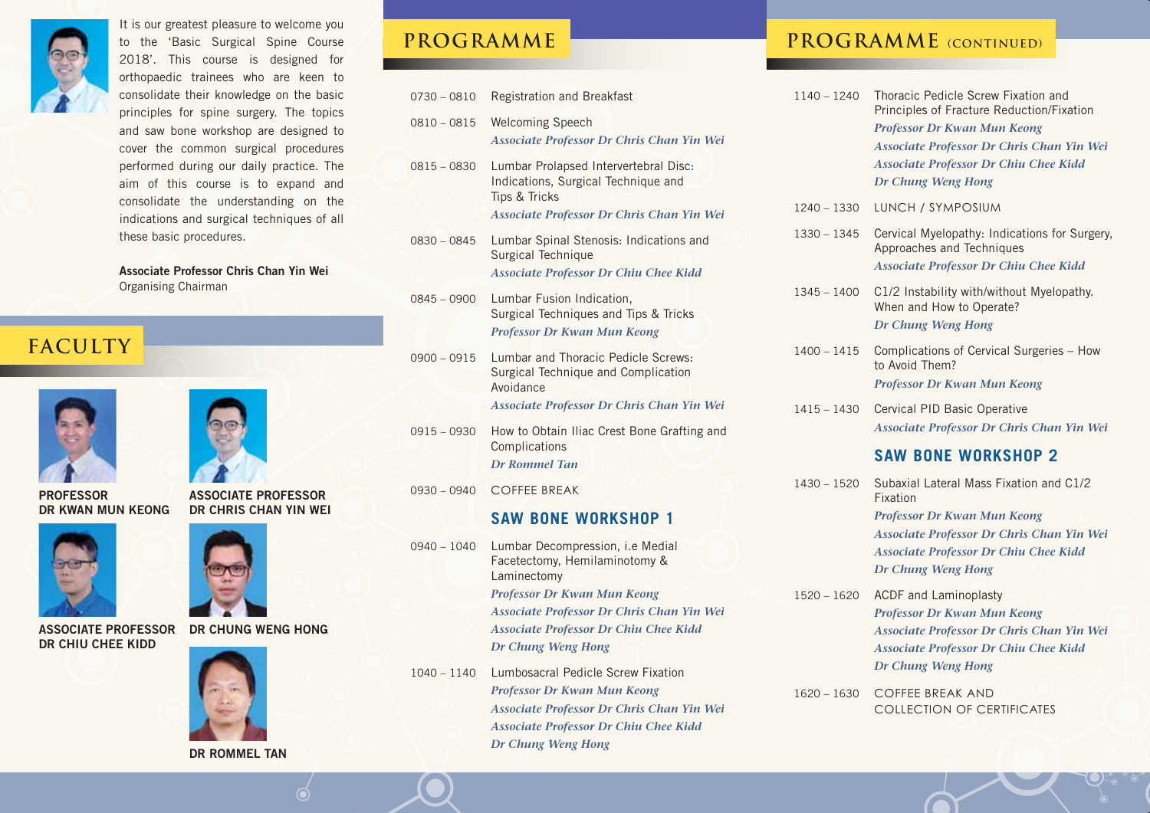

It is our greatest pleasure to welcome you to the 'Basic Surgical Spine Course 2018'. This course is designed for orthopaedic trainees who are keen to consolidate their knowledge on the basic principles for spine surgery. The topics and saw bone workshop are designed to cover the common surgical procedures performed during our daily practice. The aim of this course is to expand and consolidate the understanding on the indications and surgical techniques of all these basic procedures.

**Associate Professor Chris Chan Yin Wei** Organising Chairman

#### **Faculty**





**ASSOCIATE PROFESSOR DR CHRIS CHAN YIN WEI** 

**PROFESSOR DR KWAN MUN KEONG**







**DR ROMMEL TAN**

| $0730 - 0810$ | <b>Registration and Breakfast</b>                                                                                                                     |
|---------------|-------------------------------------------------------------------------------------------------------------------------------------------------------|
| $0810 - 0815$ | <b>Welcoming Speech</b><br>Associate Professor Dr Chris Chan Yin Wei                                                                                  |
| $0815 - 0830$ | Lumbar Prolapsed Intervertebral Disc:<br>Indications, Surgical Technique and<br><b>Tips &amp; Tricks</b><br>Associate Professor Dr Chris Chan Yin Wei |
| $0830 - 0845$ | Lumbar Spinal Stenosis: Indications and<br>Surgical Technique<br><b>Associate Professor Dr Chiu Chee Kidd</b>                                         |
| $0845 - 0900$ | Lumbar Fusion Indication,<br>Surgical Techniques and Tips & Tricks<br>Professor Dr Kwan Mun Keong                                                     |
| $0900 - 0915$ | Lumbar and Thoracic Pedicle Screws:<br>Surgical Technique and Complication<br>Avoidance<br>Associate Professor Dr Chris Chan Yin Wei                  |
| $0915 - 0930$ | How to Obtain Iliac Crest Bone Grafting and<br>Complications<br><b>Dr Rommel Tan</b>                                                                  |
| 0930 - 0940   | <b>COFFEE BREAK</b>                                                                                                                                   |
|               | <b>SAW BONE WORKSHOP 1</b>                                                                                                                            |
| $0940 - 1040$ | Lumbar Decompression, i.e Medial<br>Facetectomy, Hemilaminotomy &<br>Laminectomy                                                                      |
|               | Professor Dr Kwan Mun Keong                                                                                                                           |

*Associate Professor Dr Chris Chan Yin Wei Associate Professor Dr Chiu Chee Kidd Dr Chung Weng Hong*

1040 – 1140 Lumbosacral Pedicle Screw Fixation *Professor Dr Kwan Mun Keong Associate Professor Dr Chris Chan Yin Wei Associate Professor Dr Chiu Chee Kidd Dr Chung Weng Hong*

#### **PROGRAMME PROGRAMME** (CONTINUED)

1140 – 1240 Thoracic Pedicle Screw Fixation and Principles of Fracture Reduction/Fixation *Professor Dr Kwan Mun Keong Associate Professor Dr Chris Chan Yin Wei Associate Professor Dr Chiu Chee Kidd Dr Chung Weng Hong* 1240 – 1330 LUNCH / SYMPOSIUM 1330 – 1345 Cervical Myelopathy: Indications for Surgery, Approaches and Techniques *Associate Professor Dr Chiu Chee Kidd* 1345 – 1400 C1/2 Instability with/without Myelopathy. When and How to Operate? *Dr Chung Weng Hong* 1400 – 1415 Complications of Cervical Surgeries – How to Avoid Them? *Professor Dr Kwan Mun Keong* 1415 – 1430 Cervical PID Basic Operative *Associate Professor Dr Chris Chan Yin Wei*   **SAW BONE WORKSHOP 2** 1430 – 1520 Subaxial Lateral Mass Fixation and C1/2 Fixation *Professor Dr Kwan Mun Keong Associate Professor Dr Chris Chan Yin Wei Associate Professor Dr Chiu Chee Kidd Dr Chung Weng Hong* 1520 – 1620 ACDF and Laminoplasty *Professor Dr Kwan Mun Keong*

*Associate Professor Dr Chris Chan Yin Wei Associate Professor Dr Chiu Chee Kidd Dr Chung Weng Hong*

1620 – 1630 COFFEE BREAK AND COLLECTION OF CERTIFICATES